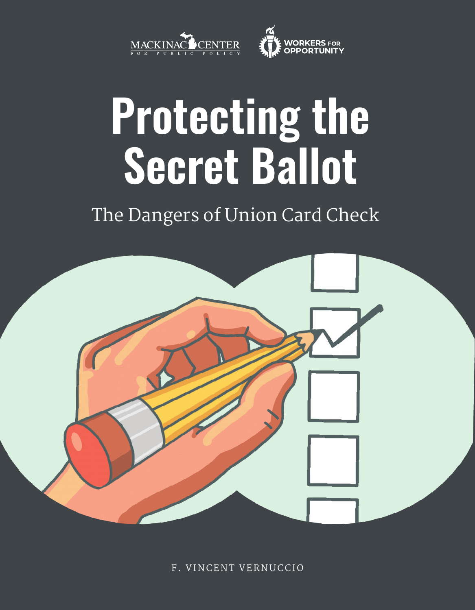



# Protecting the **Secret Ballot**

### The Dangers of Union Card Check



F. VINCENT VERNUCCIO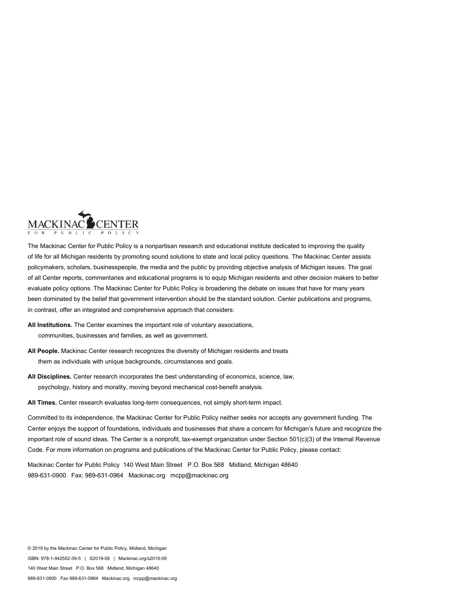

The Mackinac Center for Public Policy is a nonpartisan research and educational institute dedicated to improving the quality of life for all Michigan residents by promoting sound solutions to state and local policy questions. The Mackinac Center assists policymakers, scholars, businesspeople, the media and the public by providing objective analysis of Michigan issues. The goal of all Center reports, commentaries and educational programs is to equip Michigan residents and other decision makers to better evaluate policy options. The Mackinac Center for Public Policy is broadening the debate on issues that have for many years been dominated by the belief that government intervention should be the standard solution. Center publications and programs, in contrast, offer an integrated and comprehensive approach that considers:

**All Institutions.** The Center examines the important role of voluntary associations,

communities, businesses and families, as well as government.

- **All People.** Mackinac Center research recognizes the diversity of Michigan residents and treats them as individuals with unique backgrounds, circumstances and goals.
- **All Disciplines.** Center research incorporates the best understanding of economics, science, law, psychology, history and morality, moving beyond mechanical cost-benefit analysis.

**All Times.** Center research evaluates long-term consequences, not simply short-term impact.

Committed to its independence, the Mackinac Center for Public Policy neither seeks nor accepts any government funding. The Center enjoys the support of foundations, individuals and businesses that share a concern for Michigan's future and recognize the important role of sound ideas. The Center is a nonprofit, tax-exempt organization under Section 501(c)(3) of the Internal Revenue Code. For more information on programs and publications of the Mackinac Center for Public Policy, please contact:

Mackinac Center for Public Policy 140 West Main Street P.O. Box 568 Midland, Michigan 48640 989-631-0900 Fax: 989-631-0964 Mackinac.org mcpp@mackinac.org

© 2019 by the Mackinac Center for Public Policy, Midland, Michigan ISBN: 978-1-942502-39-5 | S2019-09 | Mackinac.org/s2019-09 140 West Main Street P.O. Box 568 Midland, Michigan 48640 989-631-0900 Fax 989-631-0964 Mackinac.org mcpp@mackinac.org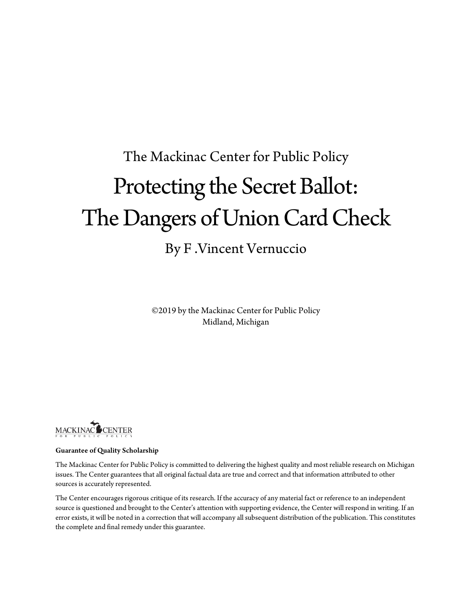## The Mackinac Center for Public Policy Protecting the Secret Ballot: The Dangers of Union Card Check

#### By F .Vincent Vernuccio

©2019 by the Mackinac Center for Public Policy Midland, Michigan



#### **Guarantee of Quality Scholarship**

The Mackinac Center for Public Policy is committed to delivering the highest quality and most reliable research on Michigan issues. The Center guarantees that all original factual data are true and correct and that information attributed to other sources is accurately represented.

The Center encourages rigorous critique of its research. If the accuracy of any material fact or reference to an independent source is questioned and brought to the Center's attention with supporting evidence, the Center will respond in writing. If an error exists, it will be noted in a correction that will accompany all subsequent distribution of the publication. This constitutes the complete and final remedy under this guarantee.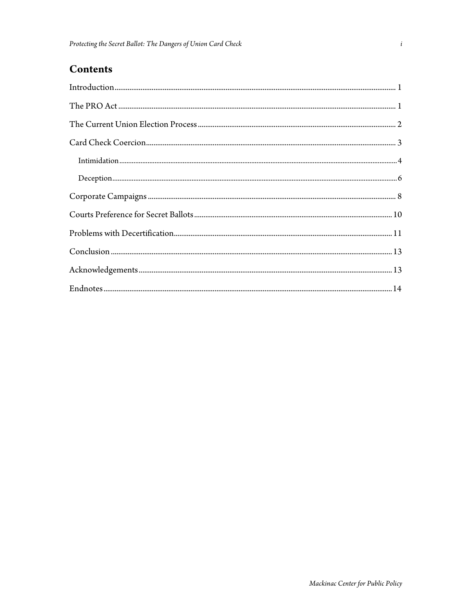#### **Contents**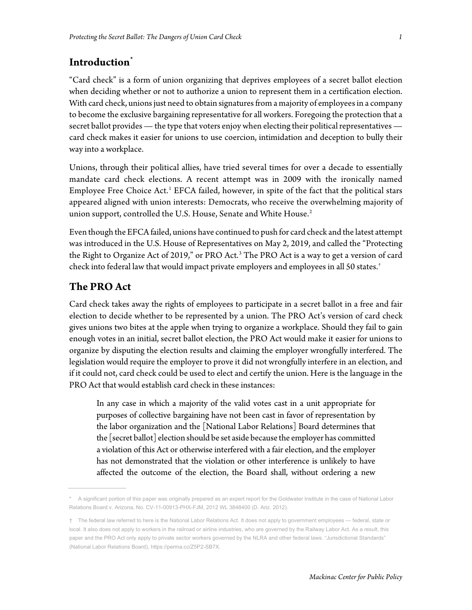#### <span id="page-4-0"></span>**Introduction[\\*](#page-20-0)**

"Card check" is a form of union organizing that deprives employees of a secret ballot election when deciding whether or not to authorize a union to represent them in a certification election. With card check, unions just need to obtain signatures from a majority of employees in a company to become the exclusive bargaining representative for all workers. Foregoing the protection that a secret ballot provides — the type that voters enjoy when electing their political representatives card check makes it easier for unions to use coercion, intimidation and deception to bully their way into a workplace.

Unions, through their political allies, have tried several times for over a decade to essentially mandate card check elections. A recent attempt was in 2009 with the ironically named Employee Free Choice Act.<sup>[1](#page-17-0)</sup> EFCA failed, however, in spite of the fact that the political stars appeared aligned with union interests: Democrats, who receive the overwhelming majority of union support, controlled the U.S. House, Senate and White House.<sup>[2](#page-17-1)</sup>

Even though the EFCA failed, unions have continued to push for card check and the latest attempt was introduced in the U.S. House of Representatives on May 2, 2019, and called the "Protecting the Right to Organize Act of 2019," or PRO Act.<sup>[3](#page-17-2)</sup> The PRO Act is a way to get a version of card check into federal law that would impact private employers and employees in all 50 states.[†](#page-4-2)

#### <span id="page-4-1"></span>**The PRO Act**

Card check takes away the rights of employees to participate in a secret ballot in a free and fair election to decide whether to be represented by a union. The PRO Act's version of card check gives unions two bites at the apple when trying to organize a workplace. Should they fail to gain enough votes in an initial, secret ballot election, the PRO Act would make it easier for unions to organize by disputing the election results and claiming the employer wrongfully interfered. The legislation would require the employer to prove it did not wrongfully interfere in an election, and if it could not, card check could be used to elect and certify the union. Here is the language in the PRO Act that would establish card check in these instances:

In any case in which a majority of the valid votes cast in a unit appropriate for purposes of collective bargaining have not been cast in favor of representation by the labor organization and the [National Labor Relations] Board determines that the [secret ballot] election should be set aside because the employer has committed a violation of this Act or otherwise interfered with a fair election, and the employer has not demonstrated that the violation or other interference is unlikely to have affected the outcome of the election, the Board shall, without ordering a new

<sup>\*</sup> A significant portion of this paper was originally prepared as an expert report for the Goldwater Institute in the case of National Labor Relations Board v. Arizona, No. CV-11-00913-PHX-FJM, 2012 WL 3848400 (D. Ariz. 2012).

<span id="page-4-2"></span><sup>†</sup> The federal law referred to here is the National Labor Relations Act. It does not apply to government employees — federal, state or local. It also does not apply to workers in the railroad or airline industries, who are governed by the Railway Labor Act. As a result, this paper and the PRO Act only apply to private sector workers governed by the NLRA and other federal laws. "Jurisdictional Standards" (National Labor Relations Board), https://perma.cc/Z5P2-SB7X.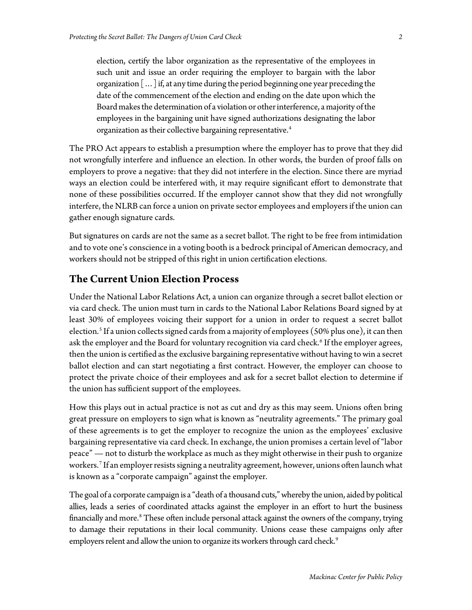election, certify the labor organization as the representative of the employees in such unit and issue an order requiring the employer to bargain with the labor organization […] if, at any time during the period beginning one year preceding the date of the commencement of the election and ending on the date upon which the Board makes the determination of a violation or other interference, a majority of the employees in the bargaining unit have signed authorizations designating the labor organization as their collective bargaining representative.[4](#page-18-0)

The PRO Act appears to establish a presumption where the employer has to prove that they did not wrongfully interfere and influence an election. In other words, the burden of proof falls on employers to prove a negative: that they did not interfere in the election. Since there are myriad ways an election could be interfered with, it may require significant effort to demonstrate that none of these possibilities occurred. If the employer cannot show that they did not wrongfully interfere, the NLRB can force a union on private sector employees and employers if the union can gather enough signature cards.

But signatures on cards are not the same as a secret ballot. The right to be free from intimidation and to vote one's conscience in a voting booth is a bedrock principal of American democracy, and workers should not be stripped of this right in union certification elections.

#### <span id="page-5-0"></span>**The Current Union Election Process**

Under the National Labor Relations Act, a union can organize through a secret ballot election or via card check. The union must turn in cards to the National Labor Relations Board signed by at least 30% of employees voicing their support for a union in order to request a secret ballot election.<sup>[5](#page-18-1)</sup> If a union collects signed cards from a majority of employees (50% plus one), it can then ask the employer and the Board for voluntary recognition via card check.<sup>[6](#page-18-2)</sup> If the employer agrees, then the union is certified as the exclusive bargaining representative without having to win a secret ballot election and can start negotiating a first contract. However, the employer can choose to protect the private choice of their employees and ask for a secret ballot election to determine if the union has sufficient support of the employees.

How this plays out in actual practice is not as cut and dry as this may seem. Unions often bring great pressure on employers to sign what is known as "neutrality agreements." The primary goal of these agreements is to get the employer to recognize the union as the employees' exclusive bargaining representative via card check. In exchange, the union promises a certain level of "labor peace" — not to disturb the workplace as much as they might otherwise in their push to organize workers.[7](#page-18-3) If an employer resists signing a neutrality agreement, however, unions often launch what is known as a "corporate campaign" against the employer.

The goal of a corporate campaign is a "death of a thousand cuts," whereby the union, aided by political allies, leads a series of coordinated attacks against the employer in an effort to hurt the business financially and more.<sup>[8](#page-18-4)</sup> These often include personal attack against the owners of the company, trying to damage their reputations in their local community. Unions cease these campaigns only after employers relent and allow the union to organize its workers through card check.<sup>9</sup>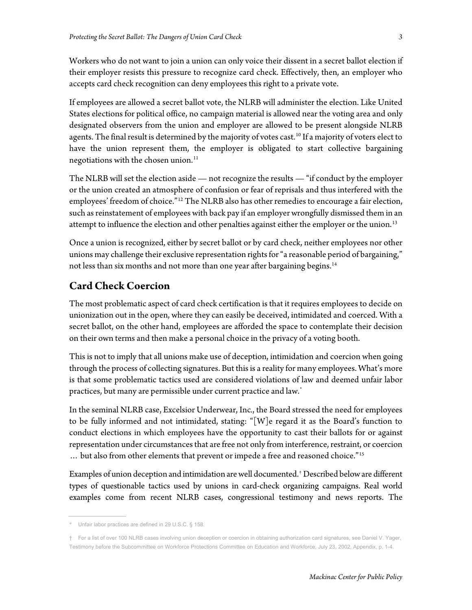Workers who do not want to join a union can only voice their dissent in a secret ballot election if their employer resists this pressure to recognize card check. Effectively, then, an employer who accepts card check recognition can deny employees this right to a private vote.

If employees are allowed a secret ballot vote, the NLRB will administer the election. Like United States elections for political office, no campaign material is allowed near the voting area and only designated observers from the union and employer are allowed to be present alongside NLRB agents. The final result is determined by the majority of votes cast.<sup>[10](#page-19-0)</sup> If a majority of voters elect to have the union represent them, the employer is obligated to start collective bargaining negotiations with the chosen union.<sup>[11](#page-19-1)</sup>

The NLRB will set the election aside — not recognize the results — "if conduct by the employer or the union created an atmosphere of confusion or fear of reprisals and thus interfered with the employees' freedom of choice."[12](#page-19-2) The NLRB also has other remedies to encourage a fair election, such as reinstatement of employees with back pay if an employer wrongfully dismissed them in an attempt to influence the election and other penalties against either the employer or the union.<sup>[13](#page-19-3)</sup>

Once a union is recognized, either by secret ballot or by card check, neither employees nor other unions may challenge their exclusive representation rights for "a reasonable period of bargaining," not less than six months and not more than one year after bargaining begins.<sup>14</sup>

#### <span id="page-6-0"></span>**Card Check Coercion**

The most problematic aspect of card check certification is that it requires employees to decide on unionization out in the open, where they can easily be deceived, intimidated and coerced. With a secret ballot, on the other hand, employees are afforded the space to contemplate their decision on their own terms and then make a personal choice in the privacy of a voting booth.

This is not to imply that all unions make use of deception, intimidation and coercion when going through the process of collecting signatures. But this is a reality for many employees. What's more is that some problematic tactics used are considered violations of law and deemed unfair labor practices, but many are permissible under current practice and law.<sup>[\\*](#page-6-1)</sup>

In the seminal NLRB case, Excelsior Underwear, Inc*.*, the Board stressed the need for employees to be fully informed and not intimidated, stating: "[W]e regard it as the Board's function to conduct elections in which employees have the opportunity to cast their ballots for or against representation under circumstances that are free not only from interference, restraint, or coercion … but also from other elements that prevent or impede a free and reasoned choice."[15](#page-19-5)

Examples of union deception and intimidation are well documented.[†](#page-6-2) Described below are different types of questionable tactics used by unions in card-check organizing campaigns. Real world examples come from recent NLRB cases, congressional testimony and news reports. The

<span id="page-6-1"></span><sup>\*</sup> Unfair labor practices are defined in 29 U.S.C. § 158.

<span id="page-6-2"></span><sup>†</sup> For a list of over 100 NLRB cases involving union deception or coercion in obtaining authorization card signatures, see Daniel V. Yager, Testimony before the Subcommittee on Workforce Protections Committee on Education and Workforce, July 23, 2002, Appendix, p. 1-4.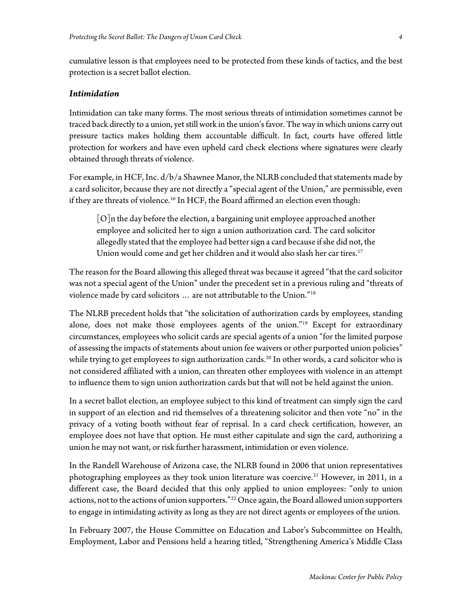cumulative lesson is that employees need to be protected from these kinds of tactics, and the best protection is a secret ballot election.

#### <span id="page-7-0"></span>*Intimidation*

Intimidation can take many forms. The most serious threats of intimidation sometimes cannot be traced back directly to a union, yet still work in the union's favor. The way in which unions carry out pressure tactics makes holding them accountable difficult. In fact, courts have offered little protection for workers and have even upheld card check elections where signatures were clearly obtained through threats of violence.

For example, in HCF, Inc. d/b/a Shawnee Manor, the NLRB concluded that statements made by a card solicitor, because they are not directly a "special agent of the Union," are permissible, even if they are threats of violence.<sup>[16](#page-20-1)</sup> In HCF, the Board affirmed an election even though:

 $\overline{O}$  n the day before the election, a bargaining unit employee approached another employee and solicited her to sign a union authorization card. The card solicitor allegedly stated that the employee had better sign a card because if she did not, the Union would come and get her children and it would also slash her car tires.<sup>[17](#page-20-2)</sup>

The reason for the Board allowing this alleged threat was because it agreed "that the card solicitor was not a special agent of the Union" under the precedent set in a previous ruling and "threats of violence made by card solicitors … are not attributable to the Union."[18](#page-20-3)

The NLRB precedent holds that "the solicitation of authorization cards by employees, standing alone, does not make those employees agents of the union."<sup>[19](#page-20-4)</sup> Except for extraordinary circumstances, employees who solicit cards are special agents of a union "for the limited purpose of assessing the impacts of statements about union fee waivers or other purported union policies" while trying to get employees to sign authorization cards.<sup>[20](#page-20-5)</sup> In other words, a card solicitor who is not considered affiliated with a union, can threaten other employees with violence in an attempt to influence them to sign union authorization cards but that will not be held against the union.

In a secret ballot election, an employee subject to this kind of treatment can simply sign the card in support of an election and rid themselves of a threatening solicitor and then vote "no" in the privacy of a voting booth without fear of reprisal. In a card check certification, however, an employee does not have that option. He must either capitulate and sign the card, authorizing a union he may not want, or risk further harassment, intimidation or even violence.

In the Randell Warehouse of Arizona case, the NLRB found in 2006 that union representatives photographing employees as they took union literature was coercive.<sup>[21](#page-20-6)</sup> However, in 2011, in a different case, the Board decided that this only applied to union employees: "only to union actions, not to the actions of union supporters."<sup>[22](#page-20-7)</sup> Once again, the Board allowed union supporters to engage in intimidating activity as long as they are not direct agents or employees of the union.

In February 2007, the House Committee on Education and Labor's Subcommittee on Health, Employment, Labor and Pensions held a hearing titled, "Strengthening America's Middle Class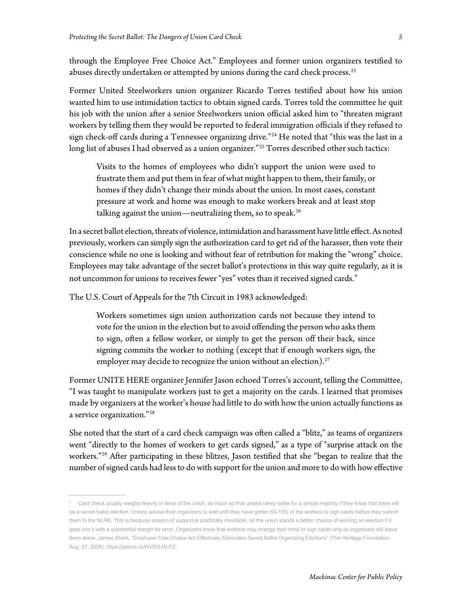through the Employee Free Choice Act." Employees and former union organizers testified to abuses directly undertaken or attempted by unions during the card check process.<sup>[23](#page--1-0)</sup>

Former United Steelworkers union organizer Ricardo Torres testified about how his union wanted him to use intimidation tactics to obtain signed cards. Torres told the committee he quit his job with the union after a senior Steelworkers union official asked him to "threaten migrant workers by telling them they would be reported to federal immigration officials if they refused to sign check-off cards during a Tennessee organizing drive."<sup>[24](#page--1-1)</sup> He noted that "this was the last in a long list of abuses I had observed as a union organizer."<sup>[25](#page--1-2)</sup> Torres described other such tactics:

Visits to the homes of employees who didn't support the union were used to frustrate them and put them in fear of what might happen to them, their family, or homes if they didn't change their minds about the union. In most cases, constant pressure at work and home was enough to make workers break and at least stop talking against the union—neutralizing them, so to speak.<sup>[26](#page--1-3)</sup>

In a secret ballot election, threats of violence, intimidation and harassment have little effect. As noted previously, workers can simply sign the authorization card to get rid of the harasser, then vote their conscience while no one is looking and without fear of retribution for making the "wrong" choice. Employees may take advantage of the secret ballot's protections in this way quite regularly, as it is not uncommon for unions to receives fewer "yes" votes than it received signed cards.[\\*](#page-8-0)

The U.S. Court of Appeals for the 7th Circuit in 1983 acknowledged:

Workers sometimes sign union authorization cards not because they intend to vote for the union in the election but to avoid offending the person who asks them to sign, often a fellow worker, or simply to get the person off their back, since signing commits the worker to nothing (except that if enough workers sign, the employer may decide to recognize the union without an election).<sup>27</sup>

Former UNITE HERE organizer Jennifer Jason echoed Torres's account, telling the Committee, "I was taught to manipulate workers just to get a majority on the cards. I learned that promises made by organizers at the worker's house had little to do with how the union actually functions as a service organization."[28](#page--1-5)

She noted that the start of a card check campaign was often called a "blitz," as teams of organizers went "directly to the homes of workers to get cards signed," as a type of "surprise attack on the workers."<sup>[29](#page--1-6)</sup> After participating in these blitzes, Jason testified that she "began to realize that the number of signed cards had less to do with support for the union and more to do with how effective

<span id="page-8-0"></span><sup>\*</sup> Card check usually weighs heavily in favor of the union, so much so that unions rarely settle for a simple majority if they know that there will be a secret ballot election. Unions advise their organizers to wait until they have gotten 60-70% of the workers to sign cards before they submit them to the NLRB. This is because erosion of support is practically inevitable, so the union stands a better chance of winning an election if it goes into it with a substantial margin for error. Organizers know that workers may change their mind or sign cards only so organizers will leave them alone. James Sherk, "Employee Free Choice Act Effectively Eliminates Secret Ballot Organizing Elections" (The Heritage Foundation, Aug. 27, 2008), https://perma.cc/NVW3-RLPZ.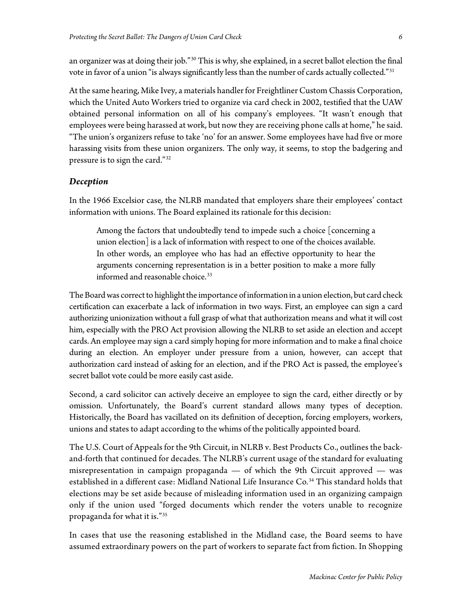an organizer was at doing their job."[30](#page--1-7) This is why, she explained, in a secret ballot election the final vote in favor of a union "is always significantly less than the number of cards actually collected."<sup>[31](#page--1-8)</sup>

At the same hearing, Mike Ivey, a materials handler for Freightliner Custom Chassis Corporation, which the United Auto Workers tried to organize via card check in 2002, testified that the UAW obtained personal information on all of his company's employees. "It wasn't enough that employees were being harassed at work, but now they are receiving phone calls at home," he said. "The union's organizers refuse to take 'no' for an answer. Some employees have had five or more harassing visits from these union organizers. The only way, it seems, to stop the badgering and pressure is to sign the card."[32](#page--1-9)

#### <span id="page-9-0"></span>*Deception*

In the 1966 Excelsior case*,* the NLRB mandated that employers share their employees' contact information with unions. The Board explained its rationale for this decision:

Among the factors that undoubtedly tend to impede such a choice [concerning a union election] is a lack of information with respect to one of the choices available. In other words, an employee who has had an effective opportunity to hear the arguments concerning representation is in a better position to make a more fully informed and reasonable choice.<sup>[33](#page--1-10)</sup>

The Board was correct to highlight the importance of information in a union election, but card check certification can exacerbate a lack of information in two ways. First, an employee can sign a card authorizing unionization without a full grasp of what that authorization means and what it will cost him, especially with the PRO Act provision allowing the NLRB to set aside an election and accept cards. An employee may sign a card simply hoping for more information and to make a final choice during an election. An employer under pressure from a union, however, can accept that authorization card instead of asking for an election, and if the PRO Act is passed, the employee's secret ballot vote could be more easily cast aside.

Second, a card solicitor can actively deceive an employee to sign the card, either directly or by omission. Unfortunately, the Board's current standard allows many types of deception. Historically, the Board has vacillated on its definition of deception, forcing employers, workers, unions and states to adapt according to the whims of the politically appointed board.

The U.S. Court of Appeals for the 9th Circuit, in NLRB v. Best Products Co., outlines the backand-forth that continued for decades. The NLRB's current usage of the standard for evaluating misrepresentation in campaign propaganda — of which the 9th Circuit approved — was established in a different case: Midland National Life Insurance Co*.* [34](#page--1-11) This standard holds that elections may be set aside because of misleading information used in an organizing campaign only if the union used "forged documents which render the voters unable to recognize propaganda for what it is."[35](#page--1-12)

In cases that use the reasoning established in the Midland case, the Board seems to have assumed extraordinary powers on the part of workers to separate fact from fiction. In Shopping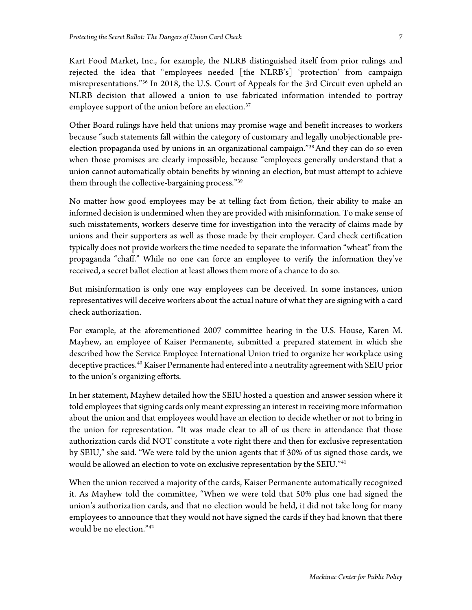Kart Food Market, Inc., for example, the NLRB distinguished itself from prior rulings and rejected the idea that "employees needed [the NLRB's] 'protection' from campaign misrepresentations."[36](#page--1-13) In 2018, the U.S. Court of Appeals for the 3rd Circuit even upheld an NLRB decision that allowed a union to use fabricated information intended to portray employee support of the union before an election.<sup>[37](#page--1-14)</sup>

Other Board rulings have held that unions may promise wage and benefit increases to workers because "such statements fall within the category of customary and legally unobjectionable preelection propaganda used by unions in an organizational campaign."[38](#page--1-15) And they can do so even when those promises are clearly impossible, because "employees generally understand that a union cannot automatically obtain benefits by winning an election, but must attempt to achieve them through the collective-bargaining process."[39](#page--1-16)

No matter how good employees may be at telling fact from fiction, their ability to make an informed decision is undermined when they are provided with misinformation. To make sense of such misstatements, workers deserve time for investigation into the veracity of claims made by unions and their supporters as well as those made by their employer. Card check certification typically does not provide workers the time needed to separate the information "wheat" from the propaganda "chaff." While no one can force an employee to verify the information they've received, a secret ballot election at least allows them more of a chance to do so.

But misinformation is only one way employees can be deceived. In some instances, union representatives will deceive workers about the actual nature of what they are signing with a card check authorization.

For example, at the aforementioned 2007 committee hearing in the U.S. House, Karen M. Mayhew, an employee of Kaiser Permanente, submitted a prepared statement in which she described how the Service Employee International Union tried to organize her workplace using deceptive practices.[40](#page--1-17) Kaiser Permanente had entered into a neutrality agreement with SEIU prior to the union's organizing efforts.

In her statement, Mayhew detailed how the SEIU hosted a question and answer session where it told employees that signing cards only meant expressing an interest in receiving more information about the union and that employees would have an election to decide whether or not to bring in the union for representation. "It was made clear to all of us there in attendance that those authorization cards did NOT constitute a vote right there and then for exclusive representation by SEIU," she said. "We were told by the union agents that if 30% of us signed those cards, we would be allowed an election to vote on exclusive representation by the SEIU."<sup>[41](#page--1-18)</sup>

When the union received a majority of the cards, Kaiser Permanente automatically recognized it. As Mayhew told the committee, "When we were told that 50% plus one had signed the union's authorization cards, and that no election would be held, it did not take long for many employees to announce that they would not have signed the cards if they had known that there would be no election."[42](#page--1-19)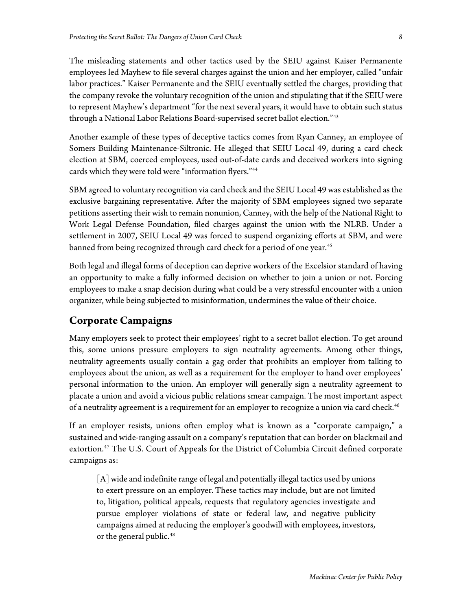The misleading statements and other tactics used by the SEIU against Kaiser Permanente employees led Mayhew to file several charges against the union and her employer, called "unfair labor practices." Kaiser Permanente and the SEIU eventually settled the charges, providing that the company revoke the voluntary recognition of the union and stipulating that if the SEIU were to represent Mayhew's department "for the next several years, it would have to obtain such status through a National Labor Relations Board-supervised secret ballot election."[43](#page--1-20)

Another example of these types of deceptive tactics comes from Ryan Canney, an employee of Somers Building Maintenance-Siltronic. He alleged that SEIU Local 49, during a card check election at SBM, coerced employees, used out-of-date cards and deceived workers into signing cards which they were told were "information flyers."[44](#page--1-21)

SBM agreed to voluntary recognition via card check and the SEIU Local 49 was established as the exclusive bargaining representative. After the majority of SBM employees signed two separate petitions asserting their wish to remain nonunion, Canney, with the help of the National Right to Work Legal Defense Foundation, filed charges against the union with the NLRB. Under a settlement in 2007, SEIU Local 49 was forced to suspend organizing efforts at SBM, and were banned from being recognized through card check for a period of one year.<sup>[45](#page--1-22)</sup>

Both legal and illegal forms of deception can deprive workers of the Excelsior standard of having an opportunity to make a fully informed decision on whether to join a union or not. Forcing employees to make a snap decision during what could be a very stressful encounter with a union organizer, while being subjected to misinformation, undermines the value of their choice.

#### <span id="page-11-0"></span>**Corporate Campaigns**

Many employers seek to protect their employees' right to a secret ballot election. To get around this, some unions pressure employers to sign neutrality agreements. Among other things, neutrality agreements usually contain a gag order that prohibits an employer from talking to employees about the union, as well as a requirement for the employer to hand over employees' personal information to the union. An employer will generally sign a neutrality agreement to placate a union and avoid a vicious public relations smear campaign. The most important aspect of a neutrality agreement is a requirement for an employer to recognize a union via card check.<sup>[46](#page--1-23)</sup>

If an employer resists, unions often employ what is known as a "corporate campaign," a sustained and wide-ranging assault on a company's reputation that can border on blackmail and extortion.<sup>[47](#page--1-24)</sup> The U.S. Court of Appeals for the District of Columbia Circuit defined corporate campaigns as:

[A] wide and indefinite range of legal and potentially illegal tactics used by unions to exert pressure on an employer. These tactics may include, but are not limited to, litigation, political appeals, requests that regulatory agencies investigate and pursue employer violations of state or federal law, and negative publicity campaigns aimed at reducing the employer's goodwill with employees, investors, or the general public.<sup>[48](#page--1-25)</sup>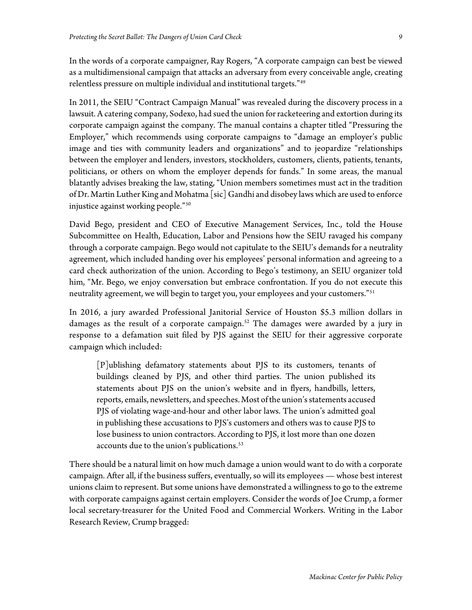In the words of a corporate campaigner, Ray Rogers, "A corporate campaign can best be viewed as a multidimensional campaign that attacks an adversary from every conceivable angle, creating relentless pressure on multiple individual and institutional targets."[49](#page--1-26)

In 2011, the SEIU "Contract Campaign Manual" was revealed during the discovery process in a lawsuit. A catering company, Sodexo, had sued the union for racketeering and extortion during its corporate campaign against the company. The manual contains a chapter titled "Pressuring the Employer," which recommends using corporate campaigns to "damage an employer's public image and ties with community leaders and organizations" and to jeopardize "relationships between the employer and lenders, investors, stockholders, customers, clients, patients, tenants, politicians, or others on whom the employer depends for funds." In some areas, the manual blatantly advises breaking the law, stating, "Union members sometimes must act in the tradition of Dr. Martin Luther King and Mohatma [sic] Gandhi and disobey laws which are used to enforce injustice against working people."[50](#page--1-27)

David Bego, president and CEO of Executive Management Services, Inc., told the House Subcommittee on Health, Education, Labor and Pensions how the SEIU ravaged his company through a corporate campaign. Bego would not capitulate to the SEIU's demands for a neutrality agreement, which included handing over his employees' personal information and agreeing to a card check authorization of the union. According to Bego's testimony, an SEIU organizer told him, "Mr. Bego, we enjoy conversation but embrace confrontation. If you do not execute this neutrality agreement, we will begin to target you, your employees and your customers."<sup>[51](#page--1-28)</sup>

In 2016, a jury awarded Professional Janitorial Service of Houston \$5.3 million dollars in damages as the result of a corporate campaign.<sup>[52](#page--1-29)</sup> The damages were awarded by a jury in response to a defamation suit filed by PJS against the SEIU for their aggressive corporate campaign which included:

[P]ublishing defamatory statements about PJS to its customers, tenants of buildings cleaned by PJS, and other third parties. The union published its statements about PJS on the union's website and in flyers, handbills, letters, reports, emails, newsletters, and speeches. Most of the union's statements accused PJS of violating wage-and-hour and other labor laws. The union's admitted goal in publishing these accusations to PJS's customers and others was to cause PJS to lose business to union contractors. According to PJS, it lost more than one dozen accounts due to the union's publications.<sup>[53](#page--1-30)</sup>

There should be a natural limit on how much damage a union would want to do with a corporate campaign. After all, if the business suffers, eventually, so will its employees — whose best interest unions claim to represent. But some unions have demonstrated a willingness to go to the extreme with corporate campaigns against certain employers. Consider the words of Joe Crump, a former local secretary-treasurer for the United Food and Commercial Workers. Writing in the Labor Research Review, Crump bragged: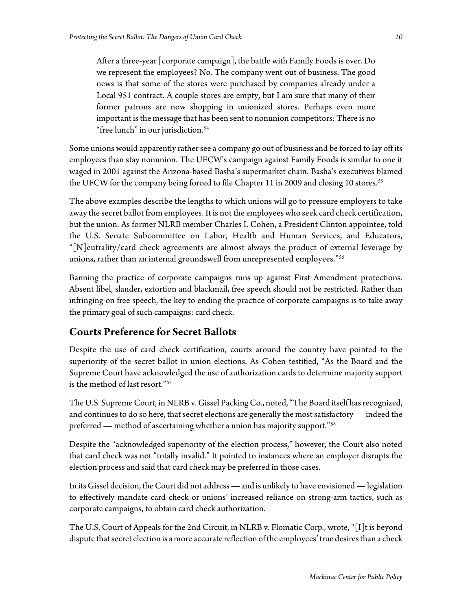After a three-year [corporate campaign], the battle with Family Foods is over. Do we represent the employees? No. The company went out of business. The good news is that some of the stores were purchased by companies already under a Local 951 contract. A couple stores are empty, but I am sure that many of their former patrons are now shopping in unionized stores. Perhaps even more important is the message that has been sent to nonunion competitors: There is no "free lunch" in our jurisdiction.<sup>[54](#page--1-4)</sup>

Some unions would apparently rather see a company go out of business and be forced to lay off its employees than stay nonunion. The UFCW's campaign against Family Foods is similar to one it waged in 2001 against the Arizona-based Basha's supermarket chain. Basha's executives blamed the UFCW for the company being forced to file Chapter 11 in 2009 and closing 10 stores.<sup>[55](#page--1-31)</sup>

The above examples describe the lengths to which unions will go to pressure employers to take away the secret ballot from employees. It is not the employees who seek card check certification, but the union. As former NLRB member Charles I. Cohen, a President Clinton appointee, told the U.S. Senate Subcommittee on Labor, Health and Human Services, and Educators,  $\lceil N \rceil$ eutrality/card check agreements are almost always the product of external leverage by unions, rather than an internal groundswell from unrepresented employees."[56](#page--1-32)

Banning the practice of corporate campaigns runs up against First Amendment protections. Absent libel, slander, extortion and blackmail, free speech should not be restricted. Rather than infringing on free speech, the key to ending the practice of corporate campaigns is to take away the primary goal of such campaigns: card check.

#### <span id="page-13-0"></span>**Courts Preference for Secret Ballots**

Despite the use of card check certification, courts around the country have pointed to the superiority of the secret ballot in union elections. As Cohen testified, "As the Board and the Supreme Court have acknowledged the use of authorization cards to determine majority support is the method of last resort."[57](#page--1-9)

The U.S. Supreme Court, in NLRB v. Gissel Packing Co., noted, "The Board itself has recognized, and continues to do so here, that secret elections are generally the most satisfactory — indeed the preferred — method of ascertaining whether a union has majority support."<sup>[58](#page--1-10)</sup>

Despite the "acknowledged superiority of the election process," however, the Court also noted that card check was not "totally invalid." It pointed to instances where an employer disrupts the election process and said that card check may be preferred in those cases.

In its Gissel decision, the Court did not address — and is unlikely to have envisioned — legislation to effectively mandate card check or unions' increased reliance on strong-arm tactics, such as corporate campaigns, to obtain card check authorization.

The U.S. Court of Appeals for the 2nd Circuit, in NLRB v. Flomatic Corp*.*, wrote, "[I]t is beyond dispute that secret election is a more accurate reflection of the employees' true desires than a check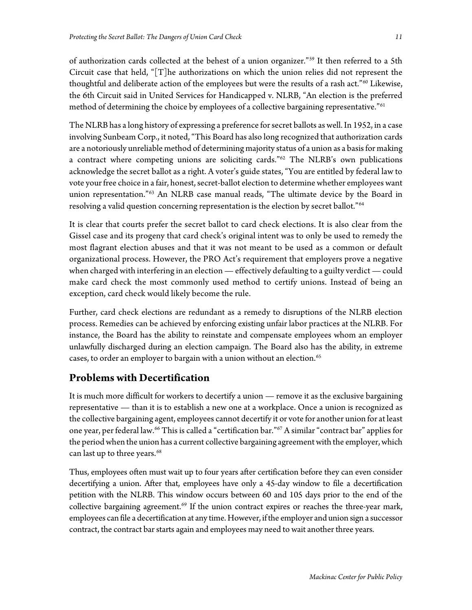of authorization cards collected at the behest of a union organizer."[59](#page--1-11) It then referred to a 5th Circuit case that held, "[T]he authorizations on which the union relies did not represent the thoughtful and deliberate action of the employees but were the results of a rash act."<sup>[60](#page--1-33)</sup> Likewise, the 6th Circuit said in United Services for Handicapped v. NLRB, "An election is the preferred method of determining the choice by employees of a collective bargaining representative."<sup>[61](#page--1-34)</sup>

The NLRB has a long history of expressing a preference for secret ballots as well. In 1952, in a case involving Sunbeam Corp., it noted, "This Board has also long recognized that authorization cards are a notoriously unreliable method of determining majority status of a union as a basis for making a contract where competing unions are soliciting cards."<sup>62</sup> The NLRB's own publications acknowledge the secret ballot as a right. A voter's guide states, "You are entitled by federal law to vote your free choice in a fair, honest, secret-ballot election to determine whether employees want union representation."[63](#page--1-36) An NLRB case manual reads, "The ultimate device by the Board in resolving a valid question concerning representation is the election by secret ballot."[64](#page--1-16)

It is clear that courts prefer the secret ballot to card check elections. It is also clear from the Gissel case and its progeny that card check's original intent was to only be used to remedy the most flagrant election abuses and that it was not meant to be used as a common or default organizational process. However, the PRO Act's requirement that employers prove a negative when charged with interfering in an election — effectively defaulting to a guilty verdict — could make card check the most commonly used method to certify unions. Instead of being an exception, card check would likely become the rule.

Further, card check elections are redundant as a remedy to disruptions of the NLRB election process. Remedies can be achieved by enforcing existing unfair labor practices at the NLRB. For instance, the Board has the ability to reinstate and compensate employees whom an employer unlawfully discharged during an election campaign. The Board also has the ability, in extreme cases, to order an employer to bargain with a union without an election.<sup>[65](#page--1-37)</sup>

#### <span id="page-14-0"></span>**Problems with Decertification**

It is much more difficult for workers to decertify a union — remove it as the exclusive bargaining representative — than it is to establish a new one at a workplace. Once a union is recognized as the collective bargaining agent, employees cannot decertify it or vote for another union for at least one year, per federal law.<sup>[66](#page--1-38)</sup> This is called a "certification bar."<sup>[67](#page--1-39)</sup> A similar "contract bar" applies for the period when the union has a current collective bargaining agreement with the employer, which can last up to three years.<sup>[68](#page--1-40)</sup>

Thus, employees often must wait up to four years after certification before they can even consider decertifying a union. After that, employees have only a 45-day window to file a decertification petition with the NLRB. This window occurs between 60 and 105 days prior to the end of the collective bargaining agreement.<sup>[69](#page--1-41)</sup> If the union contract expires or reaches the three-year mark, employees can file a decertification at any time. However, if the employer and union sign a successor contract, the contract bar starts again and employees may need to wait another three years.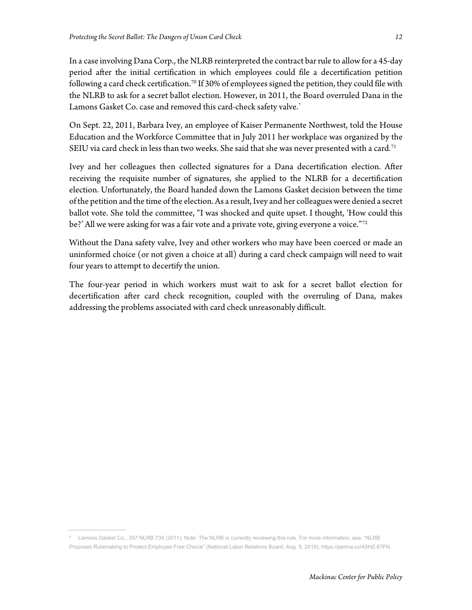In a case involving Dana Corp., the NLRB reinterpreted the contract bar rule to allow for a 45-day period after the initial certification in which employees could file a decertification petition following a card check certification.<sup>[70](#page--1-42)</sup> If 30% of employees signed the petition, they could file with the NLRB to ask for a secret ballot election. However, in 2011, the Board overruled Dana in the Lamons Gasket Co. case and removed this card-check safety valve.<sup>[\\*](#page-15-1)</sup>

On Sept. 22, 2011, Barbara Ivey, an employee of Kaiser Permanente Northwest, told the House Education and the Workforce Committee that in July 2011 her workplace was organized by the SEIU via card check in less than two weeks. She said that she was never presented with a card.<sup>[71](#page--1-43)</sup>

Ivey and her colleagues then collected signatures for a Dana decertification election. After receiving the requisite number of signatures, she applied to the NLRB for a decertification election. Unfortunately, the Board handed down the Lamons Gasket decision between the time of the petition and the time of the election. As a result, Ivey and her colleagues were denied a secret ballot vote. She told the committee, "I was shocked and quite upset. I thought, 'How could this be?' All we were asking for was a fair vote and a private vote, giving everyone a voice."<sup>[72](#page--1-44)</sup>

Without the Dana safety valve, Ivey and other workers who may have been coerced or made an uninformed choice (or not given a choice at all) during a card check campaign will need to wait four years to attempt to decertify the union.

<span id="page-15-0"></span>The four-year period in which workers must wait to ask for a secret ballot election for decertification after card check recognition, coupled with the overruling of Dana, makes addressing the problems associated with card check unreasonably difficult.

<span id="page-15-1"></span><sup>\*</sup> Lamons Gasket Co., 357 NLRB 739 (2011). Note: The NLRB is currently reviewing this rule. For more information, see: "NLRB Proposes Rulemaking to Protect Employee Free Choice" (National Labor Relations Board, Aug. 9, 2019), https://perma.cc/A5HZ-67FN.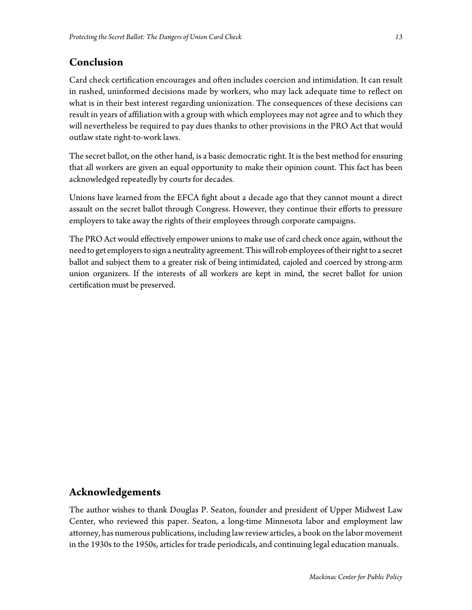#### **Conclusion**

Card check certification encourages and often includes coercion and intimidation. It can result in rushed, uninformed decisions made by workers, who may lack adequate time to reflect on what is in their best interest regarding unionization. The consequences of these decisions can result in years of affiliation with a group with which employees may not agree and to which they will nevertheless be required to pay dues thanks to other provisions in the PRO Act that would outlaw state right-to-work laws.

The secret ballot, on the other hand, is a basic democratic right. It is the best method for ensuring that all workers are given an equal opportunity to make their opinion count. This fact has been acknowledged repeatedly by courts for decades.

Unions have learned from the EFCA fight about a decade ago that they cannot mount a direct assault on the secret ballot through Congress. However, they continue their efforts to pressure employers to take away the rights of their employees through corporate campaigns.

The PRO Act would effectively empower unions to make use of card check once again, without the need to get employers to sign a neutrality agreement. This will rob employees of their right to a secret ballot and subject them to a greater risk of being intimidated, cajoled and coerced by strong-arm union organizers. If the interests of all workers are kept in mind, the secret ballot for union certification must be preserved.

#### <span id="page-16-0"></span>**Acknowledgements**

The author wishes to thank Douglas P. Seaton, founder and president of Upper Midwest Law Center, who reviewed this paper. Seaton, a long-time Minnesota labor and employment law attorney, has numerous publications, including law review articles, a book on the labor movement in the 1930s to the 1950s, articles for trade periodicals, and continuing legal education manuals.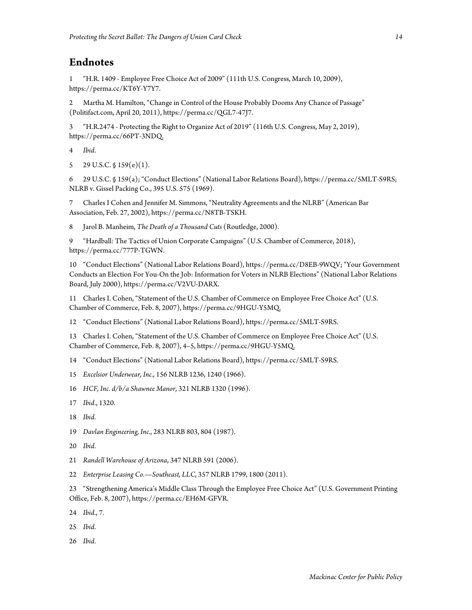#### **Endnotes**

<span id="page-17-0"></span> "H.R. 1409 - Employee Free Choice Act of 2009" (111th U.S. Congress, March 10, 2009), https://perma.cc/KT6Y-Y7Y7.

<span id="page-17-1"></span> Martha M. Hamilton, "Change in Control of the House Probably Dooms Any Chance of Passage" (Politifact.com, April 20, 2011), https://perma.cc/QGL7-47J7.

<span id="page-17-2"></span> "H.R.2474 - Protecting the Right to Organize Act of 2019" (116th U.S. Congress, May 2, 2019), https://perma.cc/66PT-3NDQ.

- *Ibid*.
- 5 29 U.S.C.  $$159(e)(1)$ .

 29 U.S.C. § 159(a); "Conduct Elections" (National Labor Relations Board), https://perma.cc/5MLT-S9RS; NLRB v. Gissel Packing Co., 395 U.S. 575 (1969).

 Charles I Cohen and Jennifer M. Simmons, "Neutrality Agreements and the NLRB" (American Bar Association, Feb. 27, 2002), https://perma.cc/N8TB-TSKH.

Jarol B. Manheim, *The Death of a Thousand Cuts* (Routledge, 2000).

 "Hardball: The Tactics of Union Corporate Campaigns" (U.S. Chamber of Commerce, 2018), https://perma.cc/777P-TGWN.

 "Conduct Elections" (National Labor Relations Board), https://perma.cc/D8EB-9WQV; "Your Government Conducts an Election For You-On the Job: Information for Voters in NLRB Elections" (National Labor Relations Board, July 2000), https://perma.cc/V2VU-DARX.

 Charles I. Cohen, "Statement of the U.S. Chamber of Commerce on Employee Free Choice Act" (U.S. Chamber of Commerce, Feb. 8, 2007), https://perma.cc/9HGU-Y5MQ.

"Conduct Elections" (National Labor Relations Board), https://perma.cc/5MLT-S9RS.

 Charles I. Cohen, "Statement of the U.S. Chamber of Commerce on Employee Free Choice Act" (U.S. Chamber of Commerce, Feb. 8, 2007), 4–5, https://perma.cc/9HGU-Y5MQ.

"Conduct Elections" (National Labor Relations Board), https://perma.cc/5MLT-S9RS.

- *Excelsior Underwear, Inc.*, 156 NLRB 1236, 1240 (1966).
- *HCF, Inc. d/b/a Shawnee Manor*, 321 NLRB 1320 (1996).
- *Ibid*., 1320.
- *Ibid*.
- *Davlan Engineering, Inc.*, 283 NLRB 803, 804 (1987).
- *Ibid*.
- *Randell Warehouse of Arizona*, 347 NLRB 591 (2006).
- *Enterprise Leasing Co.—Southeast, LLC*, 357 NLRB 1799, 1800 (2011).

 "Strengthening America's Middle Class Through the Employee Free Choice Act" (U.S. Government Printing Office, Feb. 8, 2007), https://perma.cc/EH6M-GFVR.

- *Ibid*., 7.
- *Ibid*.
- *Ibid*.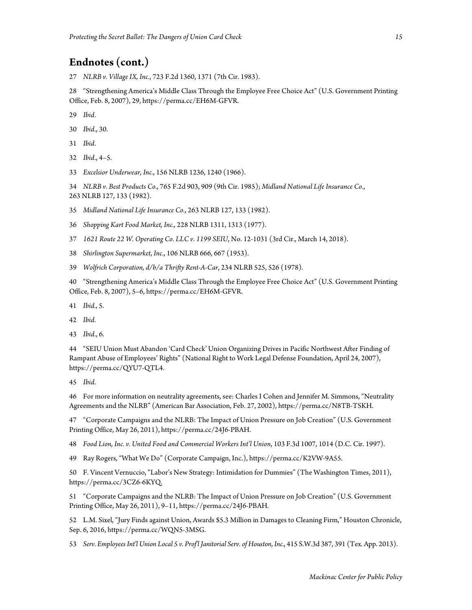#### **Endnotes (cont.)**

*NLRB v. Village IX, Inc.*, 723 F.2d 1360, 1371 (7th Cir. 1983).

 "Strengthening America's Middle Class Through the Employee Free Choice Act" (U.S. Government Printing Office, Feb. 8, 2007), 29, https://perma.cc/EH6M-GFVR.

- *Ibid*.
- *Ibid*., 30.
- <span id="page-18-0"></span>*Ibid*.
- <span id="page-18-1"></span>*Ibid*., 4–5.
- <span id="page-18-2"></span>*Excelsior Underwear, Inc.*, 156 NLRB 1236, 1240 (1966).

 *NLRB v. Best Products Co.*, 765 F.2d 903, 909 (9th Cir. 1985); *Midland National Life Insurance Co.*, 263 NLRB 127, 133 (1982).

- <span id="page-18-3"></span>*Midland National Life Insurance Co.*, 263 NLRB 127, 133 (1982).
- <span id="page-18-4"></span>*Shopping Kart Food Market, Inc.*, 228 NLRB 1311, 1313 (1977).
- <span id="page-18-5"></span>*1621 Route 22 W. Operating Co. LLC v. 1199 SEIU*, No. 12-1031 (3rd Cir., March 14, 2018).
- *Shirlington Supermarket, Inc.*, 106 NLRB 666, 667 (1953).
- *Wolfrich Corporation, d/b/a Thrifty Rent-A-Car*, 234 NLRB 525, 526 (1978).

 "Strengthening America's Middle Class Through the Employee Free Choice Act" (U.S. Government Printing Office, Feb. 8, 2007), 5–6, https://perma.cc/EH6M-GFVR.

- *Ibid.*, 5.
- *Ibid*.
- *Ibid*., 6.

 "SEIU Union Must Abandon 'Card Check' Union Organizing Drives in Pacific Northwest After Finding of Rampant Abuse of Employees' Rights" (National Right to Work Legal Defense Foundation, April 24, 2007), https://perma.cc/QYU7-QTL4.

*Ibid*.

 For more information on neutrality agreements, see: Charles I Cohen and Jennifer M. Simmons, "Neutrality Agreements and the NLRB" (American Bar Association, Feb. 27, 2002), https://perma.cc/N8TB-TSKH.

 "Corporate Campaigns and the NLRB: The Impact of Union Pressure on Job Creation" (U.S. Government Printing Office, May 26, 2011), https://perma.cc/24J6-PBAH.

*Food Lion, Inc. v. United Food and Commercial Workers Int'l Union*, 103 F.3d 1007, 1014 (D.C. Cir. 1997).

Ray Rogers, "What We Do" (Corporate Campaign, Inc.), https://perma.cc/K2VW-9A55.

 F. Vincent Vernuccio, "Labor's New Strategy: Intimidation for Dummies" (The Washington Times, 2011), https://perma.cc/3CZ6-6KYQ.

 "Corporate Campaigns and the NLRB: The Impact of Union Pressure on Job Creation" (U.S. Government Printing Office, May 26, 2011), 9–11, https://perma.cc/24J6-PBAH.

 L.M. Sixel, "Jury Finds against Union, Awards \$5.3 Million in Damages to Cleaning Firm," Houston Chronicle, Sep. 6, 2016, https://perma.cc/WQN5-3MSG.

*Serv. Employees Int'l Union Local 5 v. Prof'l Janitorial Serv. of Houston, Inc.*, 415 S.W.3d 387, 391 (Tex. App. 2013).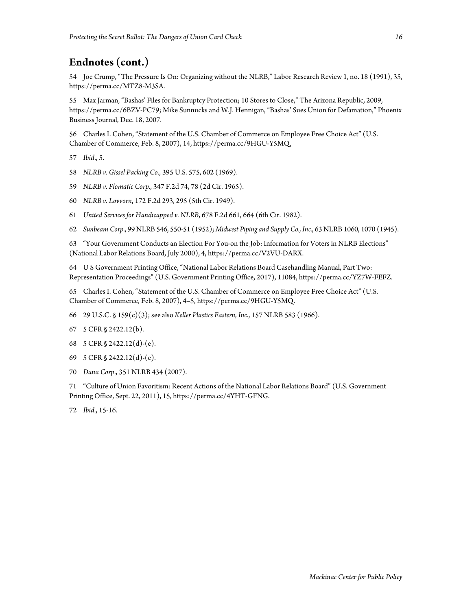#### **Endnotes (cont.)**

 Joe Crump, "The Pressure Is On: Organizing without the NLRB," Labor Research Review 1, no. 18 (1991), 35, https://perma.cc/MTZ8-M3SA.

 Max Jarman, "Bashas' Files for Bankruptcy Protection; 10 Stores to Close," The Arizona Republic, 2009, https://perma.cc/6BZV-PC79; Mike Sunnucks and W.J. Hennigan, "Bashas' Sues Union for Defamation," Phoenix Business Journal, Dec. 18, 2007.

 Charles I. Cohen, "Statement of the U.S. Chamber of Commerce on Employee Free Choice Act" (U.S. Chamber of Commerce, Feb. 8, 2007), 14, https://perma.cc/9HGU-Y5MQ.

- *Ibid*., 5.
- *NLRB v. Gissel Packing Co.*, 395 U.S. 575, 602 (1969).
- *NLRB v. Flomatic Corp.*, 347 F.2d 74, 78 (2d Cir. 1965).
- *NLRB v. Lovvorn*, 172 F.2d 293, 295 (5th Cir. 1949).
- *United Services for Handicapped v. NLRB*, 678 F.2d 661, 664 (6th Cir. 1982).

*Sunbeam Corp.*, 99 NLRB 546, 550-51 (1952); *Midwest Piping and Supply Co., Inc.*, 63 NLRB 1060, 1070 (1945).

 "Your Government Conducts an Election For You-on the Job: Information for Voters in NLRB Elections" (National Labor Relations Board, July 2000), 4, https://perma.cc/V2VU-DARX.

<span id="page-19-0"></span> U S Government Printing Office, "National Labor Relations Board Casehandling Manual, Part Two: Representation Proceedings" (U.S. Government Printing Office, 2017), 11084, https://perma.cc/YZ7W-FEFZ.

<span id="page-19-1"></span> Charles I. Cohen, "Statement of the U.S. Chamber of Commerce on Employee Free Choice Act" (U.S. Chamber of Commerce, Feb. 8, 2007), 4–5, https://perma.cc/9HGU-Y5MQ.

29 U.S.C. § 159(c)(3); see also *Keller Plastics Eastern, Inc*., 157 NLRB 583 (1966).

- <span id="page-19-3"></span><span id="page-19-2"></span>5 CFR § 2422.12(b).
- 5 CFR § 2422.12(d)-(e).
- <span id="page-19-4"></span>5 CFR § 2422.12(d)-(e).
- <span id="page-19-5"></span>*Dana Corp.*, 351 NLRB 434 (2007).

 "Culture of Union Favoritism: Recent Actions of the National Labor Relations Board" (U.S. Government Printing Office, Sept. 22, 2011), 15, https://perma.cc/4YHT-GFNG.

*Ibid.*, 15-16.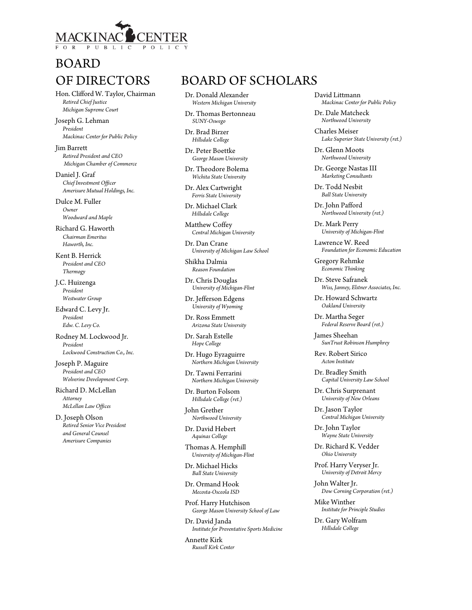

## <span id="page-20-0"></span>BOARD

Hon. Clifford W. Taylor, Chairman *Retired Chief Justice Michigan Supreme Court*

Joseph G. Lehman *President Mackinac Center for Public Policy*

Jim Barrett *Retired President and CEO Michigan Chamber of Commerce*

Daniel J. Graf *Chief Investment Officer Amerisure Mutual Holdings, Inc.*

Dulce M. Fuller *Owner Woodward and Maple*

Richard G. Haworth *Chairman Emeritus Haworth, Inc.*

Kent B. Herrick *President and CEO Thermogy*

J.C. Huizenga *President Westwater Group*

Edward C. Levy Jr. *President Edw. C. Levy Co.*

Rodney M. Lockwood Jr. *President Lockwood Construction Co., Inc.*

Joseph P. Maguire *President and CEO Wolverine Development Corp.*

<span id="page-20-2"></span><span id="page-20-1"></span>Richard D. McLellan *Attorney McLellan Law Offices*

<span id="page-20-7"></span><span id="page-20-6"></span><span id="page-20-5"></span><span id="page-20-4"></span><span id="page-20-3"></span>D. Joseph Olson *Retired Senior Vice President and General Counsel Amerisure Companies*

#### OF DIRECTORS BOARD OF SCHOLARS

Dr. Donald Alexander *Western Michigan University*

Dr. Thomas Bertonneau *SUNY-Oswego*

Dr. Brad Birzer *Hillsdale College*

Dr. Peter Boettke *George Mason University*

Dr. Theodore Bolema *Wichita State University*

Dr. Alex Cartwright *Ferris State University*

Dr. Michael Clark *Hillsdale College*

Matthew Coffey *Central Michigan University*

Dr. Dan Crane *University of Michigan Law School*

Shikha Dalmia *Reason Foundation*

Dr. Chris Douglas *University of Michigan-Flint*

Dr. Jefferson Edgens *University of Wyoming*

Dr. Ross Emmett *Arizona State University*

Dr. Sarah Estelle *Hope College*

Dr. Hugo Eyzaguirre *Northern Michigan University*

Dr. Tawni Ferrarini *Northern Michigan University*

Dr. Burton Folsom *Hillsdale College(ret.)*

John Grether *Northwood University*

Dr. David Hebert *Aquinas College*

Thomas A. Hemphill *University of Michigan-Flint*

Dr. Michael Hicks *Ball State University*

Dr. Ormand Hook *Mecosta-Osceola ISD*

Prof. Harry Hutchison *George Mason University School of Law*

Dr. David Janda *Institute for Preventative Sports Medicine*

Annette Kirk *Russell Kirk Center* David Littmann *Mackinac Center for Public Policy*

Dr. Dale Matcheck *Northwood University*

Charles Meiser *Lake Superior State University (ret.)*

Dr. Glenn Moots *Northwood University*

Dr. George Nastas III *Marketing Consultants*

Dr. Todd Nesbit *Ball State University*

Dr. John Pafford *Northwood University(ret.)*

Dr. Mark Perry *University of Michigan-Flint*

Lawrence W. Reed *Foundation for Economic Education*

Gregory Rehmke *Economic Thinking*

Dr. Steve Safranek *Wiss, Janney, Elstner Associates, Inc.*

Dr. Howard Schwartz *Oakland University*

Dr. Martha Seger *Federal Reserve Board (ret.)*

James Sheehan *SunTrust Robinson Humphrey*

Rev. Robert Sirico *Acton Institute*

Dr. Bradley Smith *Capital University Law School*

Dr. Chris Surprenant *University of New Orleans*

Dr. Jason Taylor *Central Michigan University*

Dr. John Taylor *Wayne State University*

Dr. Richard K. Vedder *Ohio University*

Prof. Harry Veryser Jr. *University of Detroit Mercy*

John Walter Jr. *Dow Corning Corporation (ret.)*

Mike Winther *Institute for Principle Studies*

Dr. Gary Wolfram *Hillsdale College*